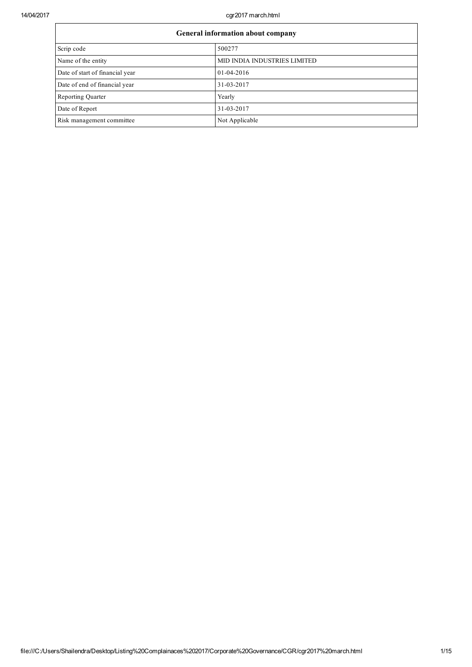14/04/2017 cgr2017 march.html

| General information about company |                              |  |  |  |
|-----------------------------------|------------------------------|--|--|--|
| Scrip code                        | 500277                       |  |  |  |
| Name of the entity                | MID INDIA INDUSTRIES LIMITED |  |  |  |
| Date of start of financial year   | $01-04-2016$                 |  |  |  |
| Date of end of financial year     | 31-03-2017                   |  |  |  |
| <b>Reporting Quarter</b>          | Yearly                       |  |  |  |
| Date of Report                    | 31-03-2017                   |  |  |  |
| Risk management committee         | Not Applicable               |  |  |  |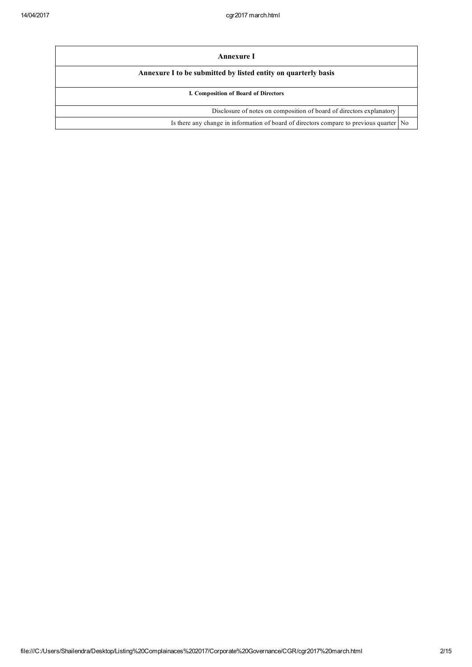| Annexure I                                                                              |  |  |  |  |
|-----------------------------------------------------------------------------------------|--|--|--|--|
| Annexure I to be submitted by listed entity on quarterly basis                          |  |  |  |  |
| I. Composition of Board of Directors                                                    |  |  |  |  |
| Disclosure of notes on composition of board of directors explanatory                    |  |  |  |  |
| Is there any change in information of board of directors compare to previous quarter No |  |  |  |  |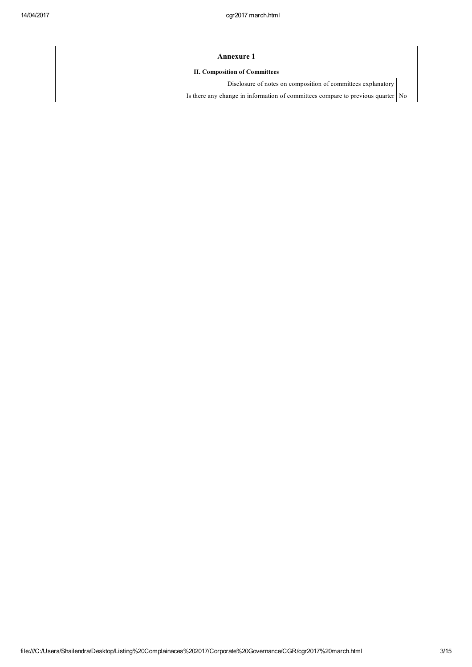| Annexure 1                                                                        |  |
|-----------------------------------------------------------------------------------|--|
| <b>II. Composition of Committees</b>                                              |  |
| Disclosure of notes on composition of committees explanatory                      |  |
| Is there any change in information of committees compare to previous quarter   No |  |
|                                                                                   |  |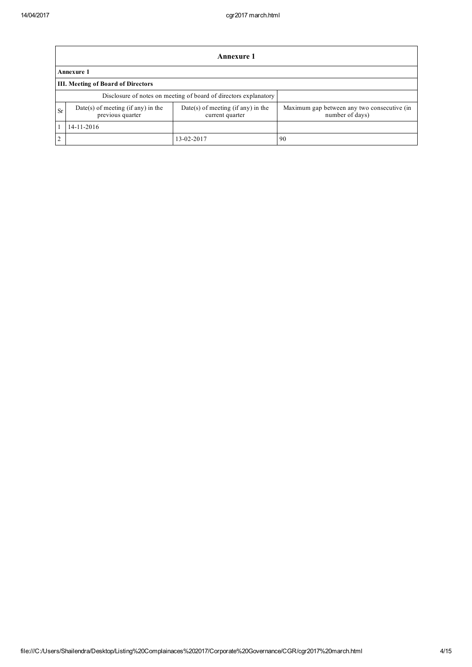|                                                                                        | <b>Annexure 1</b>                                                |                                    |                                                                |  |  |  |  |  |
|----------------------------------------------------------------------------------------|------------------------------------------------------------------|------------------------------------|----------------------------------------------------------------|--|--|--|--|--|
|                                                                                        | <b>Annexure 1</b>                                                |                                    |                                                                |  |  |  |  |  |
|                                                                                        | <b>III. Meeting of Board of Directors</b>                        |                                    |                                                                |  |  |  |  |  |
|                                                                                        | Disclosure of notes on meeting of board of directors explanatory |                                    |                                                                |  |  |  |  |  |
| Date(s) of meeting (if any) in the<br><b>Sr</b><br>previous quarter<br>current quarter |                                                                  | Date(s) of meeting (if any) in the | Maximum gap between any two consecutive (in<br>number of days) |  |  |  |  |  |
|                                                                                        | 14-11-2016                                                       |                                    |                                                                |  |  |  |  |  |
| $\overline{2}$                                                                         |                                                                  | 13-02-2017                         | -90                                                            |  |  |  |  |  |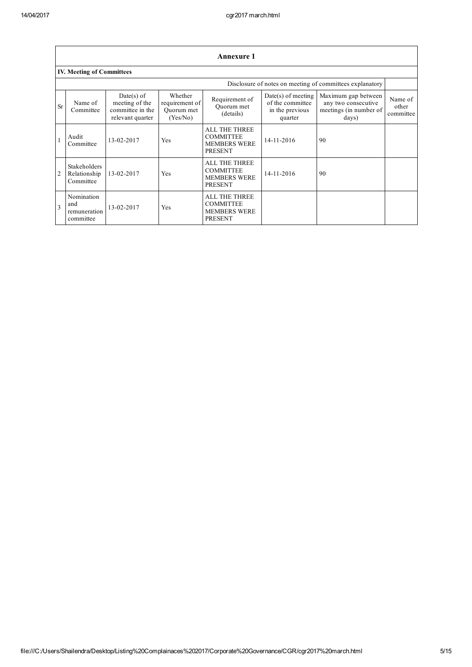|                | <b>Annexure 1</b>                              |                                                                        |                                                     |                                                                                   |                                                                        |                                                                               |                               |
|----------------|------------------------------------------------|------------------------------------------------------------------------|-----------------------------------------------------|-----------------------------------------------------------------------------------|------------------------------------------------------------------------|-------------------------------------------------------------------------------|-------------------------------|
|                | <b>IV. Meeting of Committees</b>               |                                                                        |                                                     |                                                                                   |                                                                        |                                                                               |                               |
|                |                                                |                                                                        |                                                     |                                                                                   |                                                                        | Disclosure of notes on meeting of committees explanatory                      |                               |
| <b>Sr</b>      | Name of<br>Committee                           | $Date(s)$ of<br>meeting of the<br>committee in the<br>relevant quarter | Whether<br>requirement of<br>Quorum met<br>(Yes/No) | Requirement of<br>Ouorum met<br>(details)                                         | $Date(s)$ of meeting<br>of the committee<br>in the previous<br>quarter | Maximum gap between<br>any two consecutive<br>meetings (in number of<br>days) | Name of<br>other<br>committee |
|                | Audit<br>Committee                             | 13-02-2017                                                             | Yes                                                 | ALL THE THREE<br><b>COMMITTEE</b><br><b>MEMBERS WERE</b><br><b>PRESENT</b>        | $14 - 11 - 2016$                                                       | 90                                                                            |                               |
| $\overline{2}$ | Stakeholders<br>Relationship<br>Committee      | 13-02-2017                                                             | Yes                                                 | ALL THE THREE<br><b>COMMITTEE</b><br><b>MEMBERS WERE</b><br><b>PRESENT</b>        | 14-11-2016                                                             | 90                                                                            |                               |
| 3              | Nomination<br>and<br>remuneration<br>committee | 13-02-2017                                                             | Yes                                                 | <b>ALL THE THREE</b><br><b>COMMITTEE</b><br><b>MEMBERS WERE</b><br><b>PRESENT</b> |                                                                        |                                                                               |                               |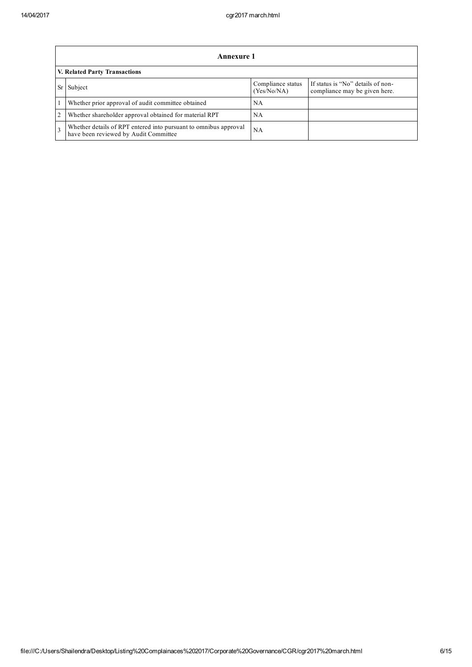|                | <b>Annexure 1</b>                                                                                         |                                  |                                                                    |  |  |  |  |
|----------------|-----------------------------------------------------------------------------------------------------------|----------------------------------|--------------------------------------------------------------------|--|--|--|--|
|                | V. Related Party Transactions                                                                             |                                  |                                                                    |  |  |  |  |
|                | Subject                                                                                                   | Compliance status<br>(Yes/No/NA) | If status is "No" details of non-<br>compliance may be given here. |  |  |  |  |
|                | Whether prior approval of audit committee obtained                                                        | <b>NA</b>                        |                                                                    |  |  |  |  |
| $\overline{2}$ | Whether shareholder approval obtained for material RPT                                                    | NA                               |                                                                    |  |  |  |  |
| $\mathcal{F}$  | Whether details of RPT entered into pursuant to omnibus approval<br>have been reviewed by Audit Committee | NA                               |                                                                    |  |  |  |  |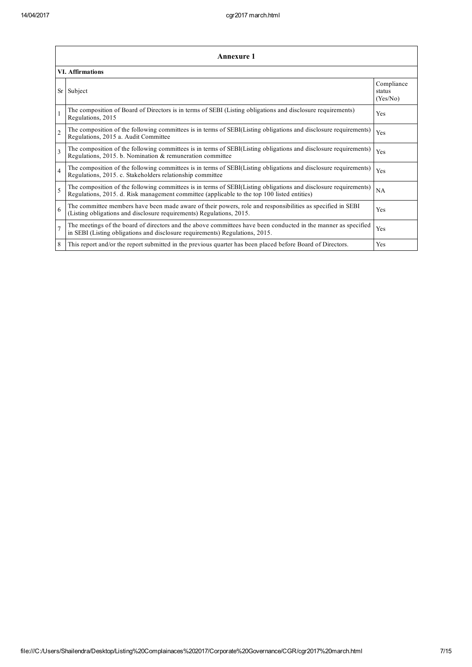|                         | Annexure 1                                                                                                                                                                                                      |                                  |  |  |  |
|-------------------------|-----------------------------------------------------------------------------------------------------------------------------------------------------------------------------------------------------------------|----------------------------------|--|--|--|
|                         | <b>VI.</b> Affirmations                                                                                                                                                                                         |                                  |  |  |  |
| Sr                      | Subject                                                                                                                                                                                                         | Compliance<br>status<br>(Yes/No) |  |  |  |
|                         | The composition of Board of Directors is in terms of SEBI (Listing obligations and disclosure requirements)<br>Regulations, 2015                                                                                | Yes                              |  |  |  |
| $\overline{2}$          | The composition of the following committees is in terms of SEBI(Listing obligations and disclosure requirements)<br>Regulations, 2015 a. Audit Committee                                                        | Yes                              |  |  |  |
| $\overline{\mathbf{3}}$ | The composition of the following committees is in terms of SEBI(Listing obligations and disclosure requirements)<br>Regulations, 2015. b. Nomination & remuneration committee                                   | Yes                              |  |  |  |
| 4                       | The composition of the following committees is in terms of SEBI(Listing obligations and disclosure requirements)<br>Regulations, 2015. c. Stakeholders relationship committee                                   | Yes                              |  |  |  |
| 5                       | The composition of the following committees is in terms of SEBI(Listing obligations and disclosure requirements)<br>Regulations, 2015. d. Risk management committee (applicable to the top 100 listed entities) | NA                               |  |  |  |
| 6                       | The committee members have been made aware of their powers, role and responsibilities as specified in SEBI<br>(Listing obligations and disclosure requirements) Regulations, 2015.                              | Yes                              |  |  |  |
|                         | The meetings of the board of directors and the above committees have been conducted in the manner as specified<br>in SEBI (Listing obligations and disclosure requirements) Regulations, 2015.                  | Yes                              |  |  |  |
| 8                       | This report and/or the report submitted in the previous quarter has been placed before Board of Directors.                                                                                                      | Yes                              |  |  |  |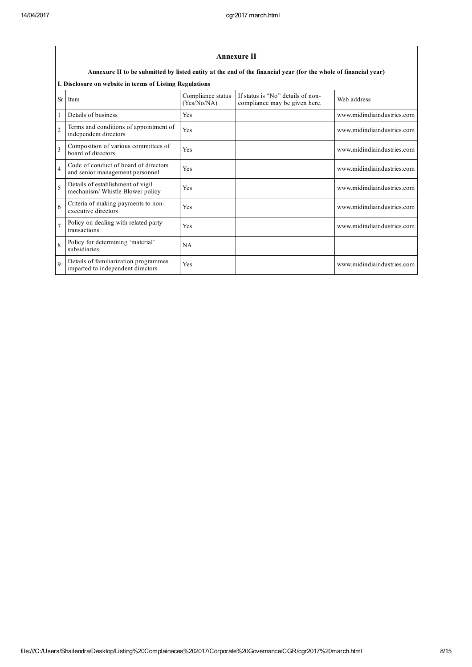|                | <b>Annexure II</b>                                                         |                                  |                                                                                                                 |                            |  |  |  |
|----------------|----------------------------------------------------------------------------|----------------------------------|-----------------------------------------------------------------------------------------------------------------|----------------------------|--|--|--|
|                |                                                                            |                                  | Annexure II to be submitted by listed entity at the end of the financial year (for the whole of financial year) |                            |  |  |  |
|                | I. Disclosure on website in terms of Listing Regulations                   |                                  |                                                                                                                 |                            |  |  |  |
| Sr             | Item                                                                       | Compliance status<br>(Yes/No/NA) | If status is "No" details of non-<br>compliance may be given here.                                              | Web address                |  |  |  |
|                | Details of business                                                        | Yes                              |                                                                                                                 | www.midindiaindustries.com |  |  |  |
| $\overline{2}$ | Terms and conditions of appointment of<br>independent directors            | Yes                              |                                                                                                                 | www.midindiaindustries.com |  |  |  |
| 3              | Composition of various committees of<br>board of directors                 | Yes                              |                                                                                                                 | www.midindiaindustries.com |  |  |  |
| $\overline{4}$ | Code of conduct of board of directors<br>and senior management personnel   | Yes                              |                                                                                                                 | www.midindiaindustries.com |  |  |  |
| 5              | Details of establishment of vigil<br>mechanism/ Whistle Blower policy      | Yes                              |                                                                                                                 | www.midindiaindustries.com |  |  |  |
| 6              | Criteria of making payments to non-<br>executive directors                 | Yes                              |                                                                                                                 | www.midindiaindustries.com |  |  |  |
| $\overline{7}$ | Policy on dealing with related party<br>transactions                       | Yes                              |                                                                                                                 | www.midindiaindustries.com |  |  |  |
| $\mathbf{8}$   | Policy for determining 'material'<br>subsidiaries                          | NA                               |                                                                                                                 |                            |  |  |  |
| $\mathbf Q$    | Details of familiarization programmes<br>imparted to independent directors | Yes                              |                                                                                                                 | www.midindiaindustries.com |  |  |  |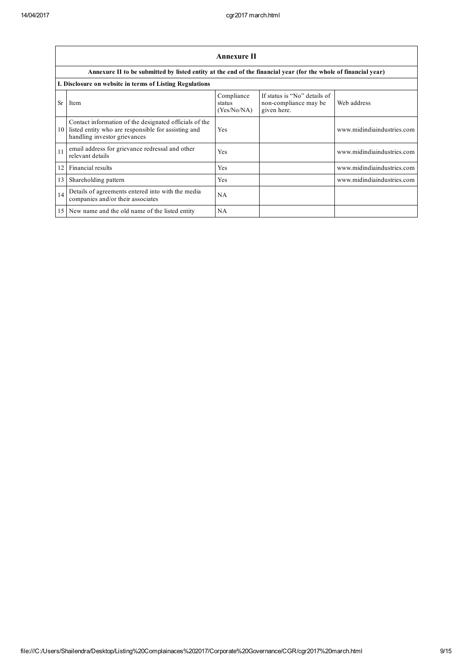|    | <b>Annexure II</b>                                                                                                                               |                                     |                                                                      |                            |  |  |  |
|----|--------------------------------------------------------------------------------------------------------------------------------------------------|-------------------------------------|----------------------------------------------------------------------|----------------------------|--|--|--|
|    | Annexure II to be submitted by listed entity at the end of the financial year (for the whole of financial year)                                  |                                     |                                                                      |                            |  |  |  |
|    | I. Disclosure on website in terms of Listing Regulations                                                                                         |                                     |                                                                      |                            |  |  |  |
| Sr | Item                                                                                                                                             | Compliance<br>status<br>(Yes/No/NA) | If status is "No" details of<br>non-compliance may be<br>given here. | Web address                |  |  |  |
|    | Contact information of the designated officials of the<br>10 listed entity who are responsible for assisting and<br>handling investor grievances | Yes                                 |                                                                      | www.midindiaindustries.com |  |  |  |
| 11 | email address for grievance redressal and other<br>relevant details                                                                              | Yes                                 |                                                                      | www.midindiaindustries.com |  |  |  |
| 12 | Financial results                                                                                                                                | Yes                                 |                                                                      | www.midindiaindustries.com |  |  |  |
| 13 | Shareholding pattern                                                                                                                             | Yes                                 |                                                                      | www.midindiaindustries.com |  |  |  |
| 14 | Details of agreements entered into with the media<br>companies and/or their associates                                                           | NA                                  |                                                                      |                            |  |  |  |
|    | 15 New name and the old name of the listed entity                                                                                                | NA                                  |                                                                      |                            |  |  |  |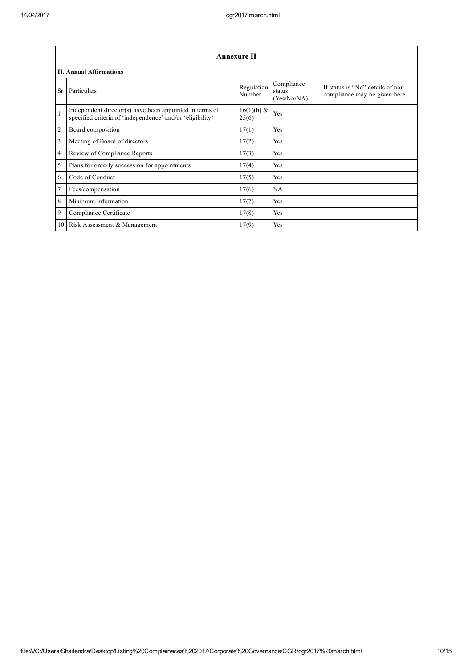|                 | Annexure II                                                                                                          |                        |                                     |                                                                    |  |  |  |
|-----------------|----------------------------------------------------------------------------------------------------------------------|------------------------|-------------------------------------|--------------------------------------------------------------------|--|--|--|
|                 | <b>II. Annual Affirmations</b>                                                                                       |                        |                                     |                                                                    |  |  |  |
| <b>Sr</b>       | Particulars                                                                                                          | Regulation<br>Number   | Compliance<br>status<br>(Yes/No/NA) | If status is "No" details of non-<br>compliance may be given here. |  |  |  |
| $\mathbf{1}$    | Independent director(s) have been appointed in terms of<br>specified criteria of 'independence' and/or 'eligibility' | $16(1)(b) \&$<br>25(6) | Yes                                 |                                                                    |  |  |  |
| $\overline{2}$  | Board composition                                                                                                    | 17(1)                  | Yes                                 |                                                                    |  |  |  |
| 3               | Meeting of Board of directors                                                                                        | 17(2)                  | Yes                                 |                                                                    |  |  |  |
| $\overline{4}$  | Review of Compliance Reports                                                                                         | 17(3)                  | Yes                                 |                                                                    |  |  |  |
| 5               | Plans for orderly succession for appointments                                                                        | 17(4)                  | Yes                                 |                                                                    |  |  |  |
| 6               | Code of Conduct                                                                                                      | 17(5)                  | Yes                                 |                                                                    |  |  |  |
| 7               | Fees/compensation                                                                                                    | 17(6)                  | NA                                  |                                                                    |  |  |  |
| 8               | Minimum Information                                                                                                  | 17(7)                  | Yes                                 |                                                                    |  |  |  |
| 9               | Compliance Certificate                                                                                               | 17(8)                  | Yes                                 |                                                                    |  |  |  |
| 10 <sup>1</sup> | Risk Assessment & Management                                                                                         | 17(9)                  | Yes                                 |                                                                    |  |  |  |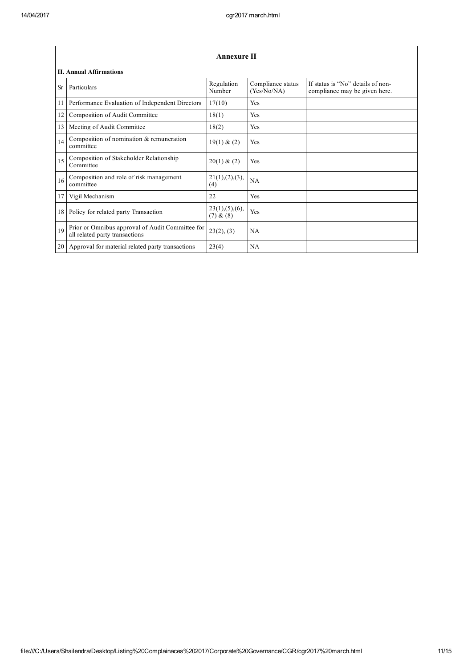|           | <b>Annexure II</b>                                                                 |                               |                                  |                                                                    |  |  |  |
|-----------|------------------------------------------------------------------------------------|-------------------------------|----------------------------------|--------------------------------------------------------------------|--|--|--|
|           | <b>II. Annual Affirmations</b>                                                     |                               |                                  |                                                                    |  |  |  |
| <b>Sr</b> | Particulars                                                                        | Regulation<br>Number          | Compliance status<br>(Yes/No/NA) | If status is "No" details of non-<br>compliance may be given here. |  |  |  |
| 11        | Performance Evaluation of Independent Directors                                    | 17(10)                        | Yes                              |                                                                    |  |  |  |
| 12        | Composition of Audit Committee                                                     | 18(1)                         | Yes                              |                                                                    |  |  |  |
| 13        | Meeting of Audit Committee                                                         | 18(2)                         | Yes                              |                                                                    |  |  |  |
| 14        | Composition of nomination & remuneration<br>committee                              | 19(1) & (2)                   | Yes                              |                                                                    |  |  |  |
| 15        | Composition of Stakeholder Relationship<br>Committee                               | 20(1) & (2)                   | Yes                              |                                                                    |  |  |  |
| 16        | Composition and role of risk management<br>committee                               | 21(1), (2), (3),<br>(4)       | NA                               |                                                                    |  |  |  |
| 17        | Vigil Mechanism                                                                    | 22                            | Yes                              |                                                                    |  |  |  |
| 18        | Policy for related party Transaction                                               | 23(1), (5), (6),<br>(7) & (8) | Yes                              |                                                                    |  |  |  |
| 19        | Prior or Omnibus approval of Audit Committee for<br>all related party transactions | 23(2), (3)                    | NA                               |                                                                    |  |  |  |
| 20        | Approval for material related party transactions                                   | 23(4)                         | NA                               |                                                                    |  |  |  |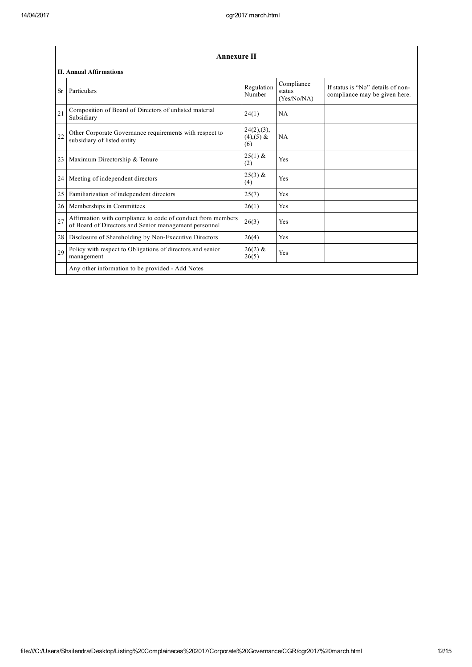|    | <b>Annexure II</b>                                                                                                   |                                  |                                     |                                                                    |  |  |  |  |
|----|----------------------------------------------------------------------------------------------------------------------|----------------------------------|-------------------------------------|--------------------------------------------------------------------|--|--|--|--|
|    | <b>II. Annual Affirmations</b>                                                                                       |                                  |                                     |                                                                    |  |  |  |  |
| Sr | Particulars                                                                                                          | Regulation<br>Number             | Compliance<br>status<br>(Yes/No/NA) | If status is "No" details of non-<br>compliance may be given here. |  |  |  |  |
| 21 | Composition of Board of Directors of unlisted material<br>Subsidiary                                                 | 24(1)                            | NA                                  |                                                                    |  |  |  |  |
| 22 | Other Corporate Governance requirements with respect to<br>subsidiary of listed entity                               | 24(2),(3),<br>$(4),(5)$ &<br>(6) | <b>NA</b>                           |                                                                    |  |  |  |  |
| 23 | Maximum Directorship & Tenure                                                                                        | $25(1)$ &<br>(2)                 | Yes                                 |                                                                    |  |  |  |  |
| 24 | Meeting of independent directors                                                                                     | $25(3)$ &<br>(4)                 | Yes                                 |                                                                    |  |  |  |  |
| 25 | Familiarization of independent directors                                                                             | 25(7)                            | Yes                                 |                                                                    |  |  |  |  |
| 26 | Memberships in Committees                                                                                            | 26(1)                            | Yes                                 |                                                                    |  |  |  |  |
| 27 | Affirmation with compliance to code of conduct from members<br>of Board of Directors and Senior management personnel | 26(3)                            | Yes                                 |                                                                    |  |  |  |  |
| 28 | Disclosure of Shareholding by Non-Executive Directors                                                                | 26(4)                            | Yes                                 |                                                                    |  |  |  |  |
| 29 | Policy with respect to Obligations of directors and senior<br>management                                             | $26(2)$ &<br>26(5)               | Yes                                 |                                                                    |  |  |  |  |
|    | Any other information to be provided - Add Notes                                                                     |                                  |                                     |                                                                    |  |  |  |  |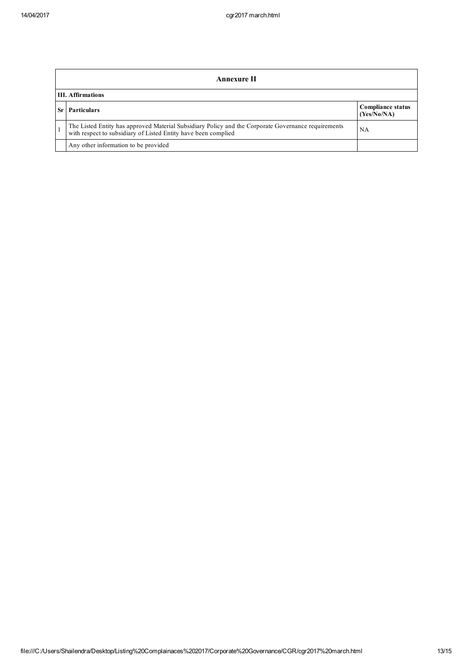| Annexure II              |                                                                                                                                                                       |                                         |  |
|--------------------------|-----------------------------------------------------------------------------------------------------------------------------------------------------------------------|-----------------------------------------|--|
| <b>III.</b> Affirmations |                                                                                                                                                                       |                                         |  |
|                          | <b>Particulars</b>                                                                                                                                                    | <b>Compliance status</b><br>(Yes/No/NA) |  |
|                          | The Listed Entity has approved Material Subsidiary Policy and the Corporate Governance requirements<br>with respect to subsidiary of Listed Entity have been complied | NA                                      |  |
|                          | Any other information to be provided                                                                                                                                  |                                         |  |